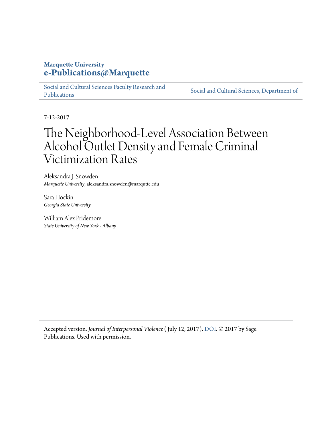# **Marquette University [e-Publications@Marquette](https://epublications.marquette.edu/)**

[Social and Cultural Sciences Faculty Research and](https://epublications.marquette.edu/socs_fac) [Publications](https://epublications.marquette.edu/socs_fac)

[Social and Cultural Sciences, Department of](https://epublications.marquette.edu/socs)

7-12-2017

# The Neighborhood-Level Association Between Alcohol Outlet Density and Female Criminal Victimization Rates

Aleksandra J. Snowden *Marquette University*, aleksandra.snowden@marqutte.edu

Sara Hockin *Georgia State University*

William Alex Pridemore *State University of New York - Albany*

Accepted version. *Journal of Interpersonal Violence* ( July 12, 2017). [DOI.](https://doi.org/10.1177%2F0886260517719080) © 2017 by Sage Publications. Used with permission.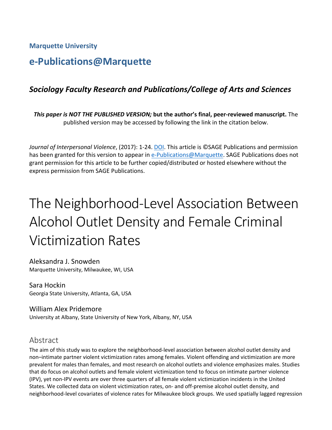**Marquette University**

# **e-Publications@Marquette**

# *Sociology Faculty Research and Publications/College of Arts and Sciences*

*This paper is NOT THE PUBLISHED VERSION;* **but the author's final, peer-reviewed manuscript.** The published version may be accessed by following the link in the citation below.

*Journal of Interpersonal Violence*, (2017): 1-24. DOI. This article is ©SAGE Publications and permission has been granted for this version to appear in [e-Publications@Marquette.](http://epublications.marquette.edu/) SAGE Publications does not grant permission for this article to be further copied/distributed or hosted elsewhere without the express permission from SAGE Publications.

# The Neighborhood-Level Association Between Alcohol Outlet Density and Female Criminal Victimization Rates

Aleksandra J. Snowden Marquette University, Milwaukee, WI, USA

Sara Hockin Georgia State University, Atlanta, GA, USA

William Alex Pridemore University at Albany, State University of New York, Albany, NY, USA

# Abstract

The aim of this study was to explore the neighborhood-level association between alcohol outlet density and non–intimate partner violent victimization rates among females. Violent offending and victimization are more prevalent for males than females, and most research on alcohol outlets and violence emphasizes males. Studies that do focus on alcohol outlets and female violent victimization tend to focus on intimate partner violence (IPV), yet non-IPV events are over three quarters of all female violent victimization incidents in the United States. We collected data on violent victimization rates, on- and off-premise alcohol outlet density, and neighborhood-level covariates of violence rates for Milwaukee block groups. We used spatially lagged regression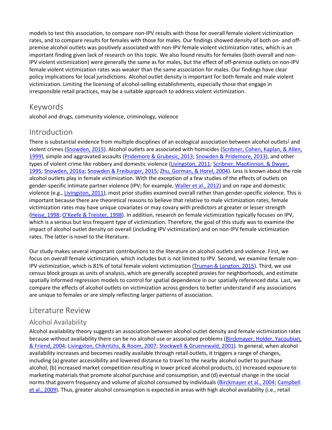models to test this association, to compare non-IPV results with those for overall female violent victimization rates, and to compare results for females with those for males. Our findings showed density of both on- and offpremise alcohol outlets was positively associated with non-IPV female violent victimization rates, which is an important finding given lack of research on this topic. We also found results for females (both overall and non-IPV violent victimization) were generally the same as for males, but the effect of off-premise outlets on non-IPV female violent victimization rates was weaker than the same association for males. Our findings have clear policy implications for local jurisdictions. Alcohol outlet density is important for both female and male violent victimization. Limiting the licensing of alcohol-selling establishments, especially those that engage in irresponsible retail practices, may be a suitable approach to address violent victimization.

# Keywords

alcohol and drugs, community violence, criminology, violence

# Introduction

There is substantial evidence from multiple disciplines of an ecological association between alcohol outlets<sup>1</sup> and violent crimes [\(Snowden, 2015\)](https://journals.sagepub.com/doi/10.1177/0886260517719080). Alcohol outlets are associated with homicides [\(Scribner, Cohen, Kaplan, & Allen,](https://journals.sagepub.com/doi/10.1177/0886260517719080)  [1999\)](https://journals.sagepub.com/doi/10.1177/0886260517719080), simple and aggravated assaults [\(Pridemore & Grubesic, 2013; Snowden & Pridemore, 2013\)](https://journals.sagepub.com/doi/10.1177/0886260517719080), and other types of violent crime like robbery and domestic violence (Livingston, 2011; Scribner, MacKinnon, & Dwyer, [1995; Snowden, 2016a; Snowden & Freiburger, 2015; Zhu, Gorman, & Horel, 2004\)](https://journals.sagepub.com/doi/10.1177/0886260517719080). Less is known about the role alcohol outlets play in female victimization. With the exception of a few studies of the effects of outlets on gender-specific intimate partner violence (IPV; for example, [Waller et al., 2012\)](https://journals.sagepub.com/doi/10.1177/0886260517719080) and on rape and domestic violence (e.g., [Livingston, 2011\)](https://journals.sagepub.com/doi/10.1177/0886260517719080), most prior studies examined overall rather than gender-specific violence. This is important because there are theoretical reasons to believe that relative to male victimization rates, female victimization rates may have unique covariates or may covary with predictors at greater or lesser strength [\(Heise, 1998; O'Keefe & Treister, 1998\)](https://journals.sagepub.com/doi/10.1177/0886260517719080). In addition, research on female victimization typically focuses on IPV, which is a serious but less frequent type of victimization. Therefore, the goal of this study was to examine the impact of alcohol outlet density on overall (including IPV victimization) and on non-IPV female victimization rates. The latter is novel to the literature.

Our study makes several important contributions to the literature on alcohol outlets and violence. First, we focus on overall female victimization, which includes but is not limited to IPV. Second, we examine female non-IPV victimization, which is 81% of total female violent victimization [\(Truman & Langton, 2015\)](https://journals.sagepub.com/doi/10.1177/0886260517719080). Third, we use census block groups as units of analysis, which are generally accepted proxies for neighborhoods, and estimate spatially informed regression models to control for spatial dependence in our spatially referenced data. Last, we compare the effects of alcohol outlets on victimization across genders to better understand if any associations are unique to females or are simply reflecting larger patterns of association.

# Literature Review

#### Alcohol Availability

Alcohol availability theory suggests an association between alcohol outlet density and female victimization rates because without availability there can be no alcohol use or associated problems [\(Birckmayer, Holder, Yacoubian,](https://journals.sagepub.com/doi/10.1177/0886260517719080)  [& Friend, 2004; Livingston, Chikritzhs, & Room, 2007; Stockwell & Gruenewald, 2001\)](https://journals.sagepub.com/doi/10.1177/0886260517719080). In general, when alcohol availability increases and becomes readily available through retail outlets, it triggers a range of changes, including (a) greater accessibility and lowered distance to travel to the nearby alcohol outlet to purchase alcohol, (b) increased market competition resulting in lower priced alcohol products, (c) increased exposure to marketing materials that promote alcohol purchase and consumption, and (d) eventual change in the social norms that govern frequency and volume of alcohol consumed by individuals (Birckmayer et al., 2004; Campbell [et al., 2009\)](https://journals.sagepub.com/doi/10.1177/0886260517719080). Thus, greater alcohol consumption is expected in areas with high alcohol availability (i.e., retail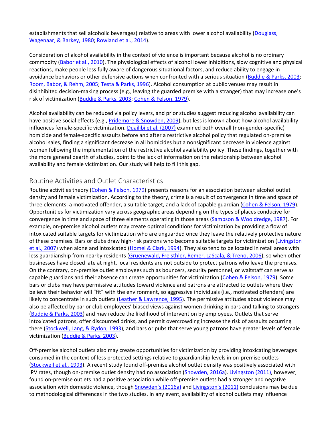establishments that sell alcoholic beverages) relative to areas with lower alcohol availability (Douglass, [Wagenaar, & Barkey, 1980; Rowland et al., 2014\)](https://journals.sagepub.com/doi/10.1177/0886260517719080).

Consideration of alcohol availability in the context of violence is important because alcohol is no ordinary commodity [\(Babor et al., 2010\)](https://journals.sagepub.com/doi/10.1177/0886260517719080). The physiological effects of alcohol lower inhibitions, slow cognitive and physical reactions, make people less fully aware of dangerous situational factors, and reduce ability to engage in avoidance behaviors or other defensive actions when confronted with a serious situation [\(Buddie & Parks, 2003;](https://journals.sagepub.com/doi/10.1177/0886260517719080) [Room, Babor, & Rehm, 2005; Testa & Parks,](https://journals.sagepub.com/doi/10.1177/0886260517719080) 1996). Alcohol consumption at public venues may result in disinhibited decision-making process (e.g., leaving the guarded premise with a stranger) that may increase one's risk of victimization [\(Buddie & Parks, 2003; Cohen & Felson, 1979\)](https://journals.sagepub.com/doi/10.1177/0886260517719080).

Alcohol availability can be reduced via policy levers, and prior studies suggest reducing alcohol availability can have positive social effects (e.g.[, Pridemore & Snowden, 2009\)](https://journals.sagepub.com/doi/10.1177/0886260517719080), but less is known about how alcohol availability influences female-specific victimization. [Duailibi et al. \(2007\)](https://journals.sagepub.com/doi/10.1177/0886260517719080) examined both overall (non-gender-specific) homicide and female-specific assaults before and after a restrictive alcohol policy that regulated on-premise alcohol sales, finding a significant decrease in all homicides but a nonsignificant decrease in violence against women following the implementation of the restrictive alcohol availability policy. These findings, together with the more general dearth of studies, point to the lack of information on the relationship between alcohol availability and female victimization. Our study will help to fill this gap.

#### Routine Activities and Outlet Characteristics

Routine activities theory [\(Cohen & Felson, 1979\)](https://journals.sagepub.com/doi/10.1177/0886260517719080) presents reasons for an association between alcohol outlet density and female victimization. According to the theory, crime is a result of convergence in time and space of three elements: a motivated offender, a suitable target, and a lack of capable guardian [\(Cohen & Felson, 1979\)](https://journals.sagepub.com/doi/10.1177/0886260517719080). Opportunities for victimization vary across geographic areas depending on the types of places conducive for convergence in time and space of three elements operating in those areas [\(Sampson & Wooldredge, 1987\)](https://journals.sagepub.com/doi/10.1177/0886260517719080). For example, on-premise alcohol outlets may create optimal conditions for victimization by providing a flow of intoxicated suitable targets for victimization who are unguarded once they leave the relatively protective nature of these premises. Bars or clubs draw high-risk patrons who become suitable targets for victimization (Livingston [et al., 2007\)](https://journals.sagepub.com/doi/10.1177/0886260517719080) when alone and intoxicated [\(Homel & Clark, 1994\)](https://journals.sagepub.com/doi/10.1177/0886260517719080). They also tend to be located in retail areas with less guardianship from nearby residents [\(Gruenewald, Freisthler, Remer, LaScala, & Treno, 2006\)](https://journals.sagepub.com/doi/10.1177/0886260517719080), so when other businesses have closed late at night, local residents are not outside to protect patrons who leave the premises. On the contrary, on-premise outlet employees such as bouncers, security personnel, or waitstaff can serve as capable guardians and their absence can create opportunities for victimization [\(Cohen & Felson, 1979\)](https://journals.sagepub.com/doi/10.1177/0886260517719080). Some bars or clubs may have permissive attitudes toward violence and patrons are attracted to outlets where they believe their behavior will "fit" with the environment, so aggressive individuals (i.e., motivated offenders) are likely to concentrate in such outlets [\(Leather & Lawrence, 1995\)](https://journals.sagepub.com/doi/10.1177/0886260517719080). The permissive attitudes about violence may also be affected by bar or club employees' biased views against women drinking in bars and talking to strangers [\(Buddie & Parks, 2003\)](https://journals.sagepub.com/doi/10.1177/0886260517719080) and may reduce the likelihood of intervention by employees. Outlets that serve intoxicated patrons, offer discounted drinks, and permit overcrowding increase the risk of assaults occurring there [\(Stockwell, Lang, & Rydon, 1993\)](https://journals.sagepub.com/doi/10.1177/0886260517719080), and bars or pubs that serve young patrons have greater levels of female victimization [\(Buddie & Parks, 2003\)](https://journals.sagepub.com/doi/10.1177/0886260517719080).

Off-premise alcohol outlets also may create opportunities for victimization by providing intoxicating beverages consumed in the context of less protected settings relative to guardianship levels in on-premise outlets [\(Stockwell et al., 1993\)](https://journals.sagepub.com/doi/10.1177/0886260517719080). A recent study found off-premise alcohol outlet density was positively associated with IPV rates, though on-premise outlet density had no association [\(Snowden, 2016a\)](https://journals.sagepub.com/doi/10.1177/0886260517719080). [Livingston \(2011\),](https://journals.sagepub.com/doi/10.1177/0886260517719080) however, found on-premise outlets had a positive association while off-premise outlets had a stronger and negative association with domestic violence, though [Snowden's \(2016a\)](https://journals.sagepub.com/doi/10.1177/0886260517719080) and [Livingston's \(2011\)](https://journals.sagepub.com/doi/10.1177/0886260517719080) conclusions may be due to methodological differences in the two studies. In any event, availability of alcohol outlets may influence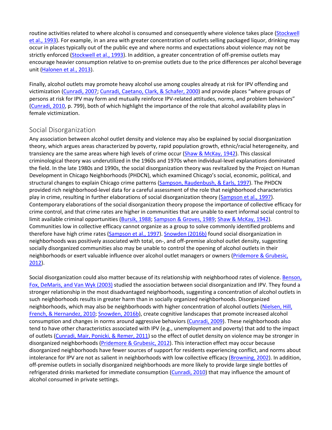routine activities related to where alcohol is consumed and consequently where violence takes place (Stockwell [et al., 1993\)](https://journals.sagepub.com/doi/10.1177/0886260517719080). For example, in an area with greater concentration of outlets selling packaged liquor, drinking may occur in places typically out of the public eye and where norms and expectations about violence may not be strictly enforced [\(Stockwell et al., 1993\)](https://journals.sagepub.com/doi/10.1177/0886260517719080). In addition, a greater concentration of off-premise outlets may encourage heavier consumption relative to on-premise outlets due to the price differences per alcohol beverage unit [\(Halonen et al., 2013\)](https://journals.sagepub.com/doi/10.1177/0886260517719080).

Finally, alcohol outlets may promote heavy alcohol use among couples already at risk for IPV offending and victimization [\(Cunradi, 2007;](https://journals.sagepub.com/doi/10.1177/0886260517719080) [Cunradi, Caetano, Clark, & Schafer, 2000\)](https://journals.sagepub.com/doi/10.1177/0886260517719080) and provide places "where groups of persons at risk for IPV may form and mutually reinforce IPV-related attitudes, norms, and problem behaviors" [\(Cunradi, 2010,](https://journals.sagepub.com/doi/10.1177/0886260517719080) p. 799), both of which highlight the importance of the role that alcohol availability plays in female victimization.

#### Social Disorganization

Any association between alcohol outlet density and violence may also be explained by social disorganization theory, which argues areas characterized by poverty, rapid population growth, ethnic/racial heterogeneity, and transiency are the same areas where high levels of crime occur [\(Shaw & McKay, 1942\)](https://journals.sagepub.com/doi/10.1177/0886260517719080). This classical criminological theory was underutilized in the 1960s and 1970s when individual-level explanations dominated the field. In the late 1980s and 1990s, the social disorganization theory was revitalized by the Project on Human Development in Chicago Neighborhoods (PHDCN), which examined Chicago's social, economic, political, and structural changes to explain Chicago crime patterns [\(Sampson, Raudenbush, & Earls, 1997\)](https://journals.sagepub.com/doi/10.1177/0886260517719080). The PHDCN provided rich neighborhood-level data for a careful assessment of the role that neighborhood characteristics play in crime, resulting in further elaborations of social disorganization theory [\(Sampson et al., 1997\)](https://journals.sagepub.com/doi/10.1177/0886260517719080). Contemporary elaborations of the social disorganization theory propose the importance of collective efficacy for crime control, and that crime rates are higher in communities that are unable to exert informal social control to limit available criminal opportunities [\(Bursik, 1988; Sampson & Groves, 1989; Shaw & McKay, 1942\)](https://journals.sagepub.com/doi/10.1177/0886260517719080). Communities low in collective efficacy cannot organize as a group to solve commonly identified problems and therefore have high crime rates [\(Sampson et al., 1997\). Snowden \(2016b\)](https://journals.sagepub.com/doi/10.1177/0886260517719080) found social disorganization in neighborhoods was positively associated with total, on-, and off-premise alcohol outlet density, suggesting socially disorganized communities also may be unable to control the opening of alcohol outlets in their neighborhoods or exert valuable influence over alcohol outlet managers or owners [\(Pridemore & Grubesic,](https://journals.sagepub.com/doi/10.1177/0886260517719080)  [2012\)](https://journals.sagepub.com/doi/10.1177/0886260517719080).

Social disorganization could also matter because of its relationship with neighborhood rates of violence[. Benson,](https://journals.sagepub.com/doi/10.1177/0886260517719080)  [Fox, DeMaris, and Van Wyk \(2003\)](https://journals.sagepub.com/doi/10.1177/0886260517719080) studied the association between social disorganization and IPV. They found a stronger relationship in the most disadvantaged neighborhoods, suggesting a concentration of alcohol outlets in such neighborhoods results in greater harm than in socially organized neighborhoods. Disorganized neighborhoods, which may also be neighborhoods with higher concentration of alcohol outlets [\(Nielsen, Hill,](https://journals.sagepub.com/doi/10.1177/0886260517719080)  [French, & Hernandez, 2010; Snowden, 2016b\)](https://journals.sagepub.com/doi/10.1177/0886260517719080), create cognitive landscapes that promote increased alcohol consumption and changes in norms around aggressive behaviors [\(Cunradi, 2009\)](https://journals.sagepub.com/doi/10.1177/0886260517719080). These neighborhoods also tend to have other characteristics associated with IPV (e.g., unemployment and poverty) that add to the impact of outlets [\(Cunradi, Mair, Ponicki, & Remer, 2011\)](https://journals.sagepub.com/doi/10.1177/0886260517719080) so the effect of outlet density on violence may be stronger in disorganized neighborhoods [\(Pridemore & Grubesic, 2012\)](https://journals.sagepub.com/doi/10.1177/0886260517719080). This interaction effect may occur because disorganized neighborhoods have fewer sources of support for residents experiencing conflict, and norms about intolerance for IPV are not as salient in neighborhoods with low collective efficacy [\(Browning, 2002\)](https://journals.sagepub.com/doi/10.1177/0886260517719080). In addition, off-premise outlets in socially disorganized neighborhoods are more likely to provide large single bottles of refrigerated drinks marketed for immediate consumption [\(Cunradi, 2010\)](https://journals.sagepub.com/doi/10.1177/0886260517719080) that may influence the amount of alcohol consumed in private settings.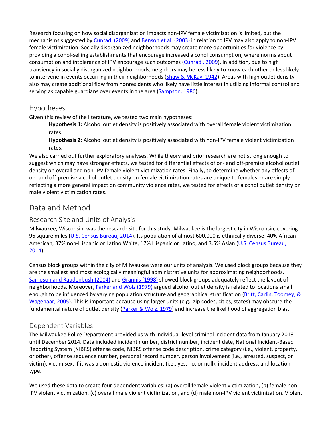Research focusing on how social disorganization impacts non-IPV female victimization is limited, but the mechanisms suggested by [Cunradi \(2009\)](https://journals.sagepub.com/doi/10.1177/0886260517719080) and [Benson et al. \(2003\)](https://journals.sagepub.com/doi/10.1177/0886260517719080) in relation to IPV may also apply to non-IPV female victimization. Socially disorganized neighborhoods may create more opportunities for violence by providing alcohol-selling establishments that encourage increased alcohol consumption, where norms about consumption and intolerance of IPV encourage such outcomes [\(Cunradi, 2009\)](https://journals.sagepub.com/doi/10.1177/0886260517719080). In addition, due to high transiency in socially disorganized neighborhoods, neighbors may be less likely to know each other or less likely to intervene in events occurring in their neighborhoods [\(Shaw & McKay, 1942\)](https://journals.sagepub.com/doi/10.1177/0886260517719080). Areas with high outlet density also may create additional flow from nonresidents who likely have little interest in utilizing informal control and serving as capable guardians over events in the area [\(Sampson, 1986\)](https://journals.sagepub.com/doi/10.1177/0886260517719080).

#### Hypotheses

Given this review of the literature, we tested two main hypotheses:

**Hypothesis 1:** Alcohol outlet density is positively associated with overall female violent victimization rates.

**Hypothesis 2:** Alcohol outlet density is positively associated with non-IPV female violent victimization rates.

We also carried out further exploratory analyses. While theory and prior research are not strong enough to suggest which may have stronger effects, we tested for differential effects of on- and off-premise alcohol outlet density on overall and non-IPV female violent victimization rates. Finally, to determine whether any effects of on- and off-premise alcohol outlet density on female victimization rates are unique to females or are simply reflecting a more general impact on community violence rates, we tested for effects of alcohol outlet density on male violent victimization rates.

# Data and Method

#### Research Site and Units of Analysis

Milwaukee, Wisconsin, was the research site for this study. Milwaukee is the largest city in Wisconsin, covering 96 square miles [\(U.S. Census Bureau, 2014\)](https://journals.sagepub.com/doi/10.1177/0886260517719080). Its population of almost 600,000 is ethnically diverse: 40% African American, 37% non-Hispanic or Latino White, 17% Hispanic or Latino, and 3.5% Asian (U.S. Census Bureau, [2014\)](https://journals.sagepub.com/doi/10.1177/0886260517719080).

Census block groups within the city of Milwaukee were our units of analysis. We used block groups because they are the smallest and most ecologically meaningful administrative units for approximating neighborhoods. [Sampson and Raudenbush \(2004\)](https://journals.sagepub.com/doi/10.1177/0886260517719080) and [Grannis \(1998\)](https://journals.sagepub.com/doi/10.1177/0886260517719080) showed block groups adequately reflect the layout of neighborhoods. Moreover[, Parker and Wolz \(1979\)](https://journals.sagepub.com/doi/10.1177/0886260517719080) argued alcohol outlet density is related to locations small enough to be influenced by varying population structure and geographical stratification [\(Britt, Carlin,](https://journals.sagepub.com/doi/10.1177/0886260517719080) Toomey, & [Wagenaar, 2005\)](https://journals.sagepub.com/doi/10.1177/0886260517719080). This is important because using larger units (e.g., zip codes, cities, states) may obscure the fundamental nature of outlet density [\(Parker & Wolz, 1979\)](https://journals.sagepub.com/doi/10.1177/0886260517719080) and increase the likelihood of aggregation bias.

#### Dependent Variables

The Milwaukee Police Department provided us with individual-level criminal incident data from January 2013 until December 2014. Data included incident number, district number, incident date, National Incident-Based Reporting System (NIBRS) offense code, NIBRS offense code description, crime category (i.e., violent, property, or other), offense sequence number, personal record number, person involvement (i.e., arrested, suspect, or victim), victim sex, if it was a domestic violence incident (i.e., yes, no, or null), incident address, and location type.

We used these data to create four dependent variables: (a) overall female violent victimization, (b) female non-IPV violent victimization, (c) overall male violent victimization, and (d) male non-IPV violent victimization. Violent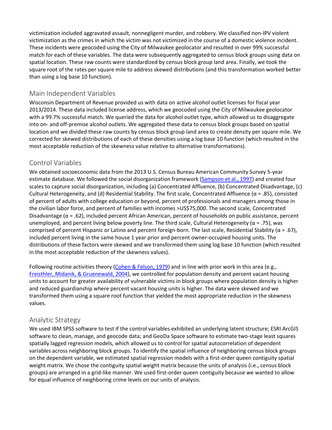victimization included aggravated assault, nonnegligent murder, and robbery. We classified non-IPV violent victimization as the crimes in which the victim was not victimized in the course of a domestic violence incident. These incidents were geocoded using the City of Milwaukee geolocator and resulted in over 99% successful match for each of these variables. The data were subsequently aggregated to census block groups using data on spatial location. These raw counts were standardized by census block group land area. Finally, we took the square root of the rates per square mile to address skewed distributions (and this transformation worked better than using a log base 10 function).

#### Main Independent Variables

Wisconsin Department of Revenue provided us with data on active alcohol outlet licenses for fiscal year 2013/2014. These data included license address, which we geocoded using the City of Milwaukee geolocator with a 99.7% successful match. We queried the data for alcohol outlet type, which allowed us to disaggregate into on- and off-premise alcohol outlets. We aggregated these data to census block groups based on spatial location and we divided these raw counts by census block group land area to create density per square mile. We corrected for skewed distributions of each of these densities using a log base 10 function (which resulted in the most acceptable reduction of the skewness value relative to alternative transformations).

#### Control Variables

We obtained socioeconomic data from the 2013 U.S. Census Bureau American Community Survey 5-year estimate database. We followed the social disorganization framework [\(Sampson et al., 1997\)](https://journals.sagepub.com/doi/10.1177/0886260517719080) and created four scales to capture social disorganization, including (a) Concentrated Affluence, (b) Concentrated Disadvantage, (c) Cultural Heterogeneity, and (d) Residential Stability. The first scale, Concentrated Affluence ( $\alpha$  = .85), consisted of percent of adults with college education or beyond, percent of professionals and managers among those in the civilian labor force, and percent of families with incomes >US\$75,000. The second scale, Concentrated Disadvantage (α = .62), included percent African American, percent of households on public assistance, percent unemployed, and percent living below poverty line. The third scale, Cultural Heterogeneity ( $\alpha$  = .75), was comprised of percent Hispanic or Latino and percent foreign-born. The last scale, Residential Stability ( $α = .67$ ), included percent living in the same house 1 year prior and percent owner-occupied housing units. The distributions of these factors were skewed and we transformed them using log base 10 function (which resulted in the most acceptable reduction of the skewness values).

Following routine activities theory [\(Cohen & Felson, 1979\)](https://journals.sagepub.com/doi/10.1177/0886260517719080) and in line with prior work in this area (e.g., [Freisthler, Midanik, & Gruenewald, 2004\)](https://journals.sagepub.com/doi/10.1177/0886260517719080), we controlled for population density and percent vacant housing units to account for greater availability of vulnerable victims in block groups where population density is higher and reduced guardianship where percent vacant housing units is higher. The data were skewed and we transformed them using a square root function that yielded the most appropriate reduction in the skewness values.

#### Analytic Strategy

We used IBM SPSS software to test if the control variables exhibited an underlying latent structure; ESRI ArcGIS software to clean, manage, and geocode data; and GeoDa Space software to estimate two-stage least squares spatially lagged regression models, which allowed us to control for spatial autocorrelation of dependent variables across neighboring block groups. To identify the spatial influence of neighboring census block groups on the dependent variable, we estimated spatial regression models with a first-order queen contiguity spatial weight matrix. We chose the contiguity spatial weight matrix because the units of analysis (i.e., census block groups) are arranged in a grid-like manner. We used first-order queen contiguity because we wanted to allow for equal influence of neighboring crime levels on our units of analysis.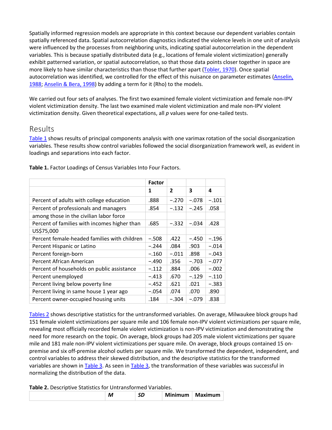Spatially informed regression models are appropriate in this context because our dependent variables contain spatially referenced data. Spatial autocorrelation diagnostics indicated the violence levels in one unit of analysis were influenced by the processes from neighboring units, indicating spatial autocorrelation in the dependent variables. This is because spatially distributed data (e.g., locations of female violent victimization) generally exhibit patterned variation, or spatial autocorrelation, so that those data points closer together in space are more likely to have similar characteristics than those that further apart [\(Tobler, 1970\)](https://journals.sagepub.com/doi/10.1177/0886260517719080). Once spatial autocorrelation was identified, we controlled for the effect of this nuisance on parameter estimates [\(Anselin,](https://journals.sagepub.com/doi/10.1177/0886260517719080)  [1988; Anselin & Bera, 1998\)](https://journals.sagepub.com/doi/10.1177/0886260517719080) by adding a term for it (Rho) to the models.

We carried out four sets of analyses. The first two examined female violent victimization and female non-IPV violent victimization density. The last two examined male violent victimization and male non-IPV violent victimization density. Given theoretical expectations, all *p* values were for one-tailed tests.

#### Results

[Table 1](https://journals.sagepub.com/doi/10.1177/0886260517719080) shows results of principal components analysis with one varimax rotation of the social disorganization variables. These results show control variables followed the social disorganization framework well, as evident in loadings and separations into each factor.

|                                              | <b>Factor</b> |                |         |         |
|----------------------------------------------|---------------|----------------|---------|---------|
|                                              | 1             | $\overline{2}$ | 3       | 4       |
| Percent of adults with college education     | .888          | $-.270$        | $-.078$ | $-.101$ |
| Percent of professionals and managers        | .854          | $-.132$        | $-.245$ | .058    |
| among those in the civilian labor force      |               |                |         |         |
| Percent of families with incomes higher than | .685          | $-.332$        | $-.034$ | .428    |
| US\$75,000                                   |               |                |         |         |
| Percent female-headed families with children | $-.508$       | .422           | $-.450$ | $-.196$ |
| Percent Hispanic or Latino                   | $-.244$       | .084           | .903    | $-.014$ |
| Percent foreign-born                         | $-.160$       | $-.011$        | .898    | $-.043$ |
| Percent African American                     | $-.490$       | .356           | $-.703$ | $-.077$ |
| Percent of households on public assistance   | $-.112$       | .884           | .006    | $-.002$ |
| Percent unemployed                           | $-.413$       | .670           | $-.129$ | $-.110$ |
| Percent living below poverty line            | $-.452$       | .621           | .021    | $-.383$ |
| Percent living in same house 1 year ago      | $-.054$       | .074           | .070    | .890    |
| Percent owner-occupied housing units         | .184          | $-.304$        | $-.079$ | .838    |

**Table 1.** Factor Loadings of Census Variables Into Four Factors.

[Tables 2](https://journals.sagepub.com/doi/10.1177/0886260517719080) shows descriptive statistics for the untransformed variables. On average, Milwaukee block groups had 151 female violent victimizations per square mile and 106 female non-IPV violent victimizations per square mile, revealing most officially recorded female violent victimization is non-IPV victimization and demonstrating the need for more research on the topic. On average, block groups had 205 male violent victimizations per square mile and 181 male non-IPV violent victimizations per square mile. On average, block groups contained 15 onpremise and six off-premise alcohol outlets per square mile. We transformed the dependent, independent, and control variables to address their skewed distribution, and the descriptive statistics for the transformed variables are shown in [Table 3.](https://journals.sagepub.com/doi/10.1177/0886260517719080) As seen i[n Table 3,](https://journals.sagepub.com/doi/10.1177/0886260517719080) the transformation of these variables was successful in normalizing the distribution of the data.

**Table 2.** Descriptive Statistics for Untransformed Variables.

|  | <b>Minimum</b> | Maximum |
|--|----------------|---------|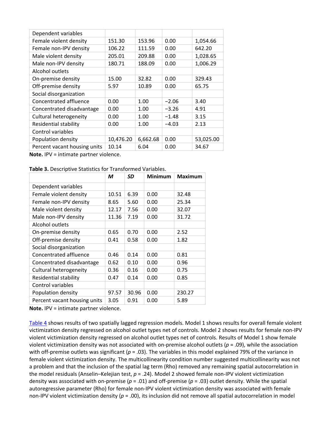| Dependent variables          |           |          |         |           |
|------------------------------|-----------|----------|---------|-----------|
| Female violent density       | 151.30    | 153.96   | 0.00    | 1,054.66  |
| Female non-IPV density       | 106.22    | 111.59   | 0.00    | 642.20    |
| Male violent density         | 205.01    | 209.88   | 0.00    | 1,028.65  |
| Male non-IPV density         | 180.71    | 188.09   | 0.00    | 1,006.29  |
| Alcohol outlets              |           |          |         |           |
| On-premise density           | 15.00     | 32.82    | 0.00    | 329.43    |
| Off-premise density          | 5.97      | 10.89    | 0.00    | 65.75     |
| Social disorganization       |           |          |         |           |
| Concentrated affluence       | 0.00      | 1.00     | $-2.06$ | 3.40      |
| Concentrated disadvantage    | 0.00      | 1.00     | $-3.26$ | 4.91      |
| Cultural heterogeneity       | 0.00      | 1.00     | $-1.48$ | 3.15      |
| Residential stability        | 0.00      | 1.00     | $-4.03$ | 2.13      |
| Control variables            |           |          |         |           |
| Population density           | 10,476.20 | 6,662.68 | 0.00    | 53,025.00 |
| Percent vacant housing units | 10.14     | 6.04     | 0.00    | 34.67     |

**Note.** IPV = intimate partner violence.

**Table 3.** Descriptive Statistics for Transformed Variables.

|                              | M     | SD    | <b>Minimum</b> | <b>Maximum</b> |
|------------------------------|-------|-------|----------------|----------------|
| Dependent variables          |       |       |                |                |
| Female violent density       | 10.51 | 6.39  | 0.00           | 32.48          |
| Female non-IPV density       | 8.65  | 5.60  | 0.00           | 25.34          |
| Male violent density         | 12.17 | 7.56  | 0.00           | 32.07          |
| Male non-IPV density         | 11.36 | 7.19  | 0.00           | 31.72          |
| Alcohol outlets              |       |       |                |                |
| On-premise density           | 0.65  | 0.70  | 0.00           | 2.52           |
| Off-premise density          | 0.41  | 0.58  | 0.00           | 1.82           |
| Social disorganization       |       |       |                |                |
| Concentrated affluence       | 0.46  | 0.14  | 0.00           | 0.81           |
| Concentrated disadvantage    | 0.62  | 0.10  | 0.00           | 0.96           |
| Cultural heterogeneity       | 0.36  | 0.16  | 0.00           | 0.75           |
| Residential stability        | 0.47  | 0.14  | 0.00           | 0.85           |
| Control variables            |       |       |                |                |
| Population density           | 97.57 | 30.96 | 0.00           | 230.27         |
| Percent vacant housing units | 3.05  | 0.91  | 0.00           | 5.89           |

**Note.** IPV = intimate partner violence.

[Table 4](https://journals.sagepub.com/doi/10.1177/0886260517719080) shows results of two spatially lagged regression models. Model 1 shows results for overall female violent victimization density regressed on alcohol outlet types net of controls. Model 2 shows results for female non-IPV violent victimization density regressed on alcohol outlet types net of controls. Results of Model 1 show female violent victimization density was not associated with on-premise alcohol outlets (*p* = .09), while the association with off-premise outlets was significant ( $p = .03$ ). The variables in this model explained 79% of the variance in female violent victimization density. The multicollinearity condition number suggested multicollinearity was not a problem and that the inclusion of the spatial lag term (Rho) removed any remaining spatial autocorrelation in the model residuals (Anselin–Kelejian test, *p* = .24). Model 2 showed female non-IPV violent victimization density was associated with on-premise (*p* = .01) and off-premise (*p* = .03) outlet density. While the spatial autoregressive parameter (Rho) for female non-IPV violent victimization density was associated with female non-IPV violent victimization density (*p* = .00), its inclusion did not remove all spatial autocorrelation in model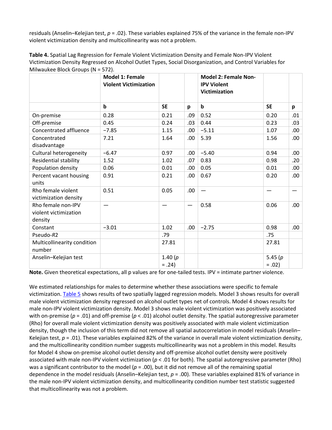residuals (Anselin–Kelejian test, *p* = .02). These variables explained 75% of the variance in the female non-IPV violent victimization density and multicollinearity was not a problem.

| Table 4. Spatial Lag Regression for Female Violent Victimization Density and Female Non-IPV Violent        |  |  |  |  |  |  |  |
|------------------------------------------------------------------------------------------------------------|--|--|--|--|--|--|--|
| Victimization Density Regressed on Alcohol Outlet Types, Social Disorganization, and Control Variables for |  |  |  |  |  |  |  |
| Milwaukee Block Groups (N = 572).                                                                          |  |  |  |  |  |  |  |
|                                                                                                            |  |  |  |  |  |  |  |

|                                                        | <b>Model 1: Female</b><br><b>Violent Victimization</b> |                       |                        | <b>Model 2: Female Non-</b><br><b>IPV Violent</b><br>Victimization |                       |      |
|--------------------------------------------------------|--------------------------------------------------------|-----------------------|------------------------|--------------------------------------------------------------------|-----------------------|------|
|                                                        | $\mathbf b$                                            | <b>SE</b>             | p                      | $\mathbf b$                                                        | <b>SE</b>             | p    |
| On-premise                                             | 0.28                                                   | 0.21                  | .09                    | 0.52                                                               | 0.20                  | .01  |
| Off-premise                                            | 0.45                                                   | 0.24                  | .03                    | 0.44                                                               | 0.23                  | .03  |
| Concentrated affluence                                 | $-7.85$                                                | 1.15                  | .00                    | $-5.11$                                                            | 1.07                  | .00  |
| Concentrated<br>disadvantage                           | 7.21                                                   | 1.64                  | .00                    | 5.39                                                               | 1.56                  | .00  |
| Cultural heterogeneity                                 | $-6.47$                                                | 0.97                  | .00                    | $-5.40$                                                            | 0.94                  | .00  |
| Residential stability                                  | 1.52                                                   | 1.02                  | .07                    | 0.83                                                               | 0.98                  | .20  |
| Population density                                     | 0.06                                                   | 0.01                  | .00                    | 0.05                                                               | 0.01                  | .00  |
| Percent vacant housing<br>units                        | 0.91                                                   | 0.21                  | .00                    | 0.67                                                               | 0.20                  | .00  |
| Rho female violent<br>victimization density            | 0.51                                                   | 0.05                  | .00                    | $\qquad \qquad \qquad$                                             |                       |      |
| Rho female non-IPV<br>violent victimization<br>density |                                                        |                       | $\qquad \qquad \qquad$ | 0.58                                                               | 0.06                  | .00. |
| Constant                                               | $-3.01$                                                | 1.02                  | .00.                   | $-2.75$                                                            | 0.98                  | .00. |
| Pseudo-R2                                              |                                                        | .79                   |                        |                                                                    | .75                   |      |
| Multicollinearity condition<br>number                  |                                                        | 27.81                 |                        |                                                                    | 27.81                 |      |
| Anselin-Kelejian test                                  |                                                        | 1.40 $(p)$<br>$=.24)$ |                        |                                                                    | 5.45 $(p)$<br>$=.02)$ |      |

**Note.** Given theoretical expectations, all p values are for one-tailed tests. IPV = intimate partner violence.

We estimated relationships for males to determine whether these associations were specific to female victimization. [Table 5](https://journals.sagepub.com/doi/10.1177/0886260517719080) shows results of two spatially lagged regression models. Model 3 shows results for overall male violent victimization density regressed on alcohol outlet types net of controls. Model 4 shows results for male non-IPV violent victimization density. Model 3 shows male violent victimization was positively associated with on-premise ( $p = .01$ ) and off-premise ( $p < .01$ ) alcohol outlet density. The spatial autoregressive parameter (Rho) for overall male violent victimization density was positively associated with male violent victimization density, though the inclusion of this term did not remove all spatial autocorrelation in model residuals (Anselin– Kelejian test,  $p = .01$ ). These variables explained 82% of the variance in overall male violent victimization density, and the multicollinearity condition number suggests multicollinearity was not a problem in this model. Results for Model 4 show on-premise alcohol outlet density and off-premise alcohol outlet density were positively associated with male non-IPV violent victimization (*p* < .01 for both). The spatial autoregressive parameter (Rho) was a significant contributor to the model ( $p = .00$ ), but it did not remove all of the remaining spatial dependence in the model residuals (Anselin–Kelejian test, *p* = .00). These variables explained 81% of variance in the male non-IPV violent victimization density, and multicollinearity condition number test statistic suggested that multicollinearity was not a problem.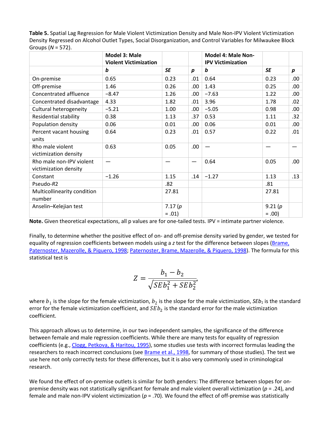**Table 5.** Spatial Lag Regression for Male Violent Victimization Density and Male Non-IPV Violent Victimization Density Regressed on Alcohol Outlet Types, Social Disorganization, and Control Variables for Milwaukee Block Groups (*N* = 572).

|                                                   | <b>Model 3: Male</b><br><b>Violent Victimization</b> |                    |                  | Model 4: Male Non-<br><b>IPV Victimization</b> |                       |                  |
|---------------------------------------------------|------------------------------------------------------|--------------------|------------------|------------------------------------------------|-----------------------|------------------|
|                                                   | b                                                    | <b>SE</b>          | $\boldsymbol{p}$ | b                                              | <b>SE</b>             | $\boldsymbol{p}$ |
| On-premise                                        | 0.65                                                 | 0.23               | .01              | 0.64                                           | 0.23                  | .00              |
| Off-premise                                       | 1.46                                                 | 0.26               | .00              | 1.43                                           | 0.25                  | .00              |
| Concentrated affluence                            | $-8.47$                                              | 1.26               | .00.             | $-7.63$                                        | 1.22                  | .00.             |
| Concentrated disadvantage                         | 4.33                                                 | 1.82               | .01              | 3.96                                           | 1.78                  | .02              |
| Cultural heterogeneity                            | $-5.21$                                              | 1.00               | .00              | $-5.05$                                        | 0.98                  | .00.             |
| Residential stability                             | 0.38                                                 | 1.13               | .37              | 0.53                                           | 1.11                  | .32              |
| Population density                                | 0.06                                                 | 0.01               | .00              | 0.06                                           | 0.01                  | .00.             |
| Percent vacant housing<br>units                   | 0.64                                                 | 0.23               | .01              | 0.57                                           | 0.22                  | .01              |
| Rho male violent<br>victimization density         | 0.63                                                 | 0.05               | .00              |                                                |                       |                  |
| Rho male non-IPV violent<br>victimization density |                                                      |                    |                  | 0.64                                           | 0.05                  | .00              |
| Constant                                          | $-1.26$                                              | 1.15               | .14              | $-1.27$                                        | 1.13                  | .13              |
| Pseudo-R2                                         |                                                      | .82                |                  |                                                | .81                   |                  |
| Multicollinearity condition<br>number             |                                                      | 27.81              |                  |                                                | 27.81                 |                  |
| Anselin-Kelejian test                             |                                                      | 7.17(p)<br>$=.01)$ |                  |                                                | 9.21 $(p$<br>$= .00)$ |                  |

**Note.** Given theoretical expectations, all p values are for one-tailed tests. IPV = intimate partner violence.

Finally, to determine whether the positive effect of on- and off-premise density varied by gender, we tested for equality of regression coefficients between models using a *z* test for the difference between slopes [\(Brame,](https://journals.sagepub.com/doi/10.1177/0886260517719080)  [Paternoster, Mazerolle, & Piquero, 1998; Paternoster, Brame, Mazerolle, & Piquero, 1998\)](https://journals.sagepub.com/doi/10.1177/0886260517719080). The formula for this statistical test is

$$
Z = \frac{b_1 - b_2}{\sqrt{SEb_1^2 + SEb_2^2}}
$$

where  $b_1$  is the slope for the female victimization,  $b_2$  is the slope for the male victimization, *SEb*<sub>1</sub> is the standard error for the female victimization coefficient, and  $SEb<sub>2</sub>$  is the standard error for the male victimization coefficient.

This approach allows us to determine, in our two independent samples, the significance of the difference between female and male regression coefficients. While there are many tests for equality of regression coefficients (e.g., [Clogg, Petkova, & Haritou, 1995\)](https://journals.sagepub.com/doi/10.1177/0886260517719080), some studies use tests with incorrect formulas leading the researchers to reach incorrect conclusions (see [Brame et al., 1998,](https://journals.sagepub.com/doi/10.1177/0886260517719080) for summary of those studies). The test we use here not only correctly tests for these differences, but it is also very commonly used in criminological research.

We found the effect of on-premise outlets is similar for both genders: The difference between slopes for onpremise density was not statistically significant for female and male violent overall victimization (*p* = .24), and female and male non-IPV violent victimization ( $p = .70$ ). We found the effect of off-premise was statistically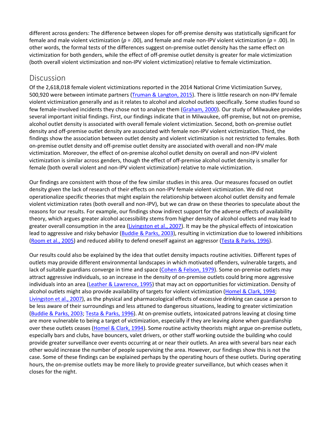different across genders: The difference between slopes for off-premise density was statistically significant for female and male violent victimization (*p* = .00), and female and male non-IPV violent victimization (*p* = .00). In other words, the formal tests of the differences suggest on-premise outlet density has the same effect on victimization for both genders, while the effect of off-premise outlet density is greater for male victimization (both overall violent victimization and non-IPV violent victimization) relative to female victimization.

### **Discussion**

Of the 2,618,018 female violent victimizations reported in the 2014 National Crime Victimization Survey, 500,920 were between intimate partners [\(Truman & Langton, 2015\)](https://journals.sagepub.com/doi/10.1177/0886260517719080). There is little research on non-IPV female violent victimization generally and as it relates to alcohol and alcohol outlets specifically. Some studies found so few female-involved incidents they chose not to analyze them [\(Graham, 2000\)](https://journals.sagepub.com/doi/10.1177/0886260517719080). Our study of Milwaukee provides several important initial findings. First, our findings indicate that in Milwaukee, off-premise, but not on-premise, alcohol outlet density is associated with overall female violent victimization. Second, both on-premise outlet density and off-premise outlet density are associated with female non-IPV violent victimization. Third, the findings show the association between outlet density and violent victimization is not restricted to females. Both on-premise outlet density and off-premise outlet density are associated with overall and non-IPV male victimization. Moreover, the effect of on-premise alcohol outlet density on overall and non-IPV violent victimization is similar across genders, though the effect of off-premise alcohol outlet density is smaller for female (both overall violent and non-IPV violent victimization) relative to male victimization.

Our findings are consistent with those of the few similar studies in this area. Our measures focused on outlet density given the lack of research of their effects on non-IPV female violent victimization. We did not operationalize specific theories that might explain the relationship between alcohol outlet density and female violent victimization rates (both overall and non-IPV), but we can draw on these theories to speculate about the reasons for our results. For example, our findings show indirect support for the adverse effects of availability theory, which argues greater alcohol accessibility stems from higher density of alcohol outlets and may lead to greater overall consumption in the area [\(Livingston et al., 2007\)](https://journals.sagepub.com/doi/10.1177/0886260517719080). It may be the physical effects of intoxication lead to aggressive and risky behavior [\(Buddie & Parks, 2003\)](https://journals.sagepub.com/doi/10.1177/0886260517719080), resulting in victimization due to lowered inhibitions [\(Room et al., 2005\)](https://journals.sagepub.com/doi/10.1177/0886260517719080) and reduced ability to defend oneself against an aggressor [\(Testa & Parks, 1996\)](https://journals.sagepub.com/doi/10.1177/0886260517719080).

Our results could also be explained by the idea that outlet density impacts routine activities. Different types of outlets may provide different environmental landscapes in which motivated offenders, vulnerable targets, and lack of suitable guardians converge in time and space [\(Cohen & Felson, 1979\)](https://journals.sagepub.com/doi/10.1177/0886260517719080). Some on-premise outlets may attract aggressive individuals, so an increase in the density of on-premise outlets could bring more aggressive individuals into an area [\(Leather & Lawrence, 1995\)](https://journals.sagepub.com/doi/10.1177/0886260517719080) that may act on opportunities for victimization. Density of alcohol outlets might also provide availability of targets for violent victimization [\(Homel & Clark, 1994;](https://journals.sagepub.com/doi/10.1177/0886260517719080) [Livingston et al., 2007\)](https://journals.sagepub.com/doi/10.1177/0886260517719080), as the physical and pharmacological effects of excessive drinking can cause a person to be less aware of their surroundings and less attuned to dangerous situations, leading to greater victimization [\(Buddie & Parks, 2003; Testa & Parks, 1996\)](https://journals.sagepub.com/doi/10.1177/0886260517719080). At on-premise outlets, intoxicated patrons leaving at closing time are more vulnerable to being a target of victimization, especially if they are leaving alone when guardianship over these outlets ceases [\(Homel & Clark, 1994\)](https://journals.sagepub.com/doi/10.1177/0886260517719080). Some routine activity theorists might argue on-premise outlets, especially bars and clubs, have bouncers, valet drivers, or other staff working outside the building who could provide greater surveillance over events occurring at or near their outlets. An area with several bars near each other would increase the number of people supervising the area. However, our findings show this is not the case. Some of these findings can be explained perhaps by the operating hours of these outlets. During operating hours, the on-premise outlets may be more likely to provide greater surveillance, but which ceases when it closes for the night.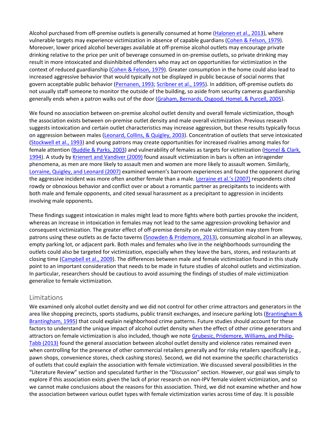Alcohol purchased from off-premise outlets is generally consumed at home [\(Halonen et al., 2013\)](https://journals.sagepub.com/doi/10.1177/0886260517719080), where vulnerable targets may experience victimization in absence of capable guardians [\(Cohen & Felson, 1979\)](https://journals.sagepub.com/doi/10.1177/0886260517719080). Moreover, lower priced alcohol beverages available at off-premise alcohol outlets may encourage private drinking relative to the price per unit of beverage consumed in on-premise outlets, so private drinking may result in more intoxicated and disinhibited offenders who may act on opportunities for victimization in the context of reduced guardianship [\(Cohen & Felson, 1979\)](https://journals.sagepub.com/doi/10.1177/0886260517719080). Greater consumption in the home could also lead to increased aggressive behavior that would typically not be displayed in public because of social norms that govern acceptable public behavior [\(Pernanen, 1993; Scribner et al., 1995\)](https://journals.sagepub.com/doi/10.1177/0886260517719080). In addition, off-premise outlets do not usually staff someone to monitor the outside of the building, so aside from security cameras guardianship generally ends when a patron walks out of the door [\(Graham, Bernards, Osgood, Homel, & Purcell, 2005\)](https://journals.sagepub.com/doi/10.1177/0886260517719080).

We found no association between on-premise alcohol outlet density and overall female victimization, though the association exists between on-premise outlet density and male overall victimization. Previous research suggests intoxication and certain outlet characteristics may increase aggression, but these results typically focus on aggression between males [\(Leonard, Collins, & Quigley, 2003\)](https://journals.sagepub.com/doi/10.1177/0886260517719080). Concentration of outlets that serve intoxicated [\(Stockwell et al., 1993\)](https://journals.sagepub.com/doi/10.1177/0886260517719080) and young patrons may create opportunities for increased rivalries among males for female attention [\(Buddie & Parks, 2003\)](https://journals.sagepub.com/doi/10.1177/0886260517719080) and vulnerability of females as targets for victimization [\(Homel & Clark,](https://journals.sagepub.com/doi/10.1177/0886260517719080)  [1994\)](https://journals.sagepub.com/doi/10.1177/0886260517719080). A study by [Krienert and Vandiver \(2009\)](https://journals.sagepub.com/doi/10.1177/0886260517719080) found assault victimization in bars is often an intragender phenomena, as men are more likely to assault men and women are more likely to assault women. Similarly, [Lorraine, Quigley, and Leonard \(2007\)](https://journals.sagepub.com/doi/10.1177/0886260517719080) examined women's barroom experiences and found the opponent during the aggressive incident was more often another female than a male[. Lorraine et al.'s \(2007\)](https://journals.sagepub.com/doi/10.1177/0886260517719080) respondents cited rowdy or obnoxious behavior and conflict over or about a romantic partner as precipitants to incidents with both male and female opponents, and cited sexual harassment as a precipitant to aggression in incidents involving male opponents.

These findings suggest intoxication in males might lead to more fights where both parties provoke the incident, whereas an increase in intoxication in females may not lead to the same aggression-provoking behavior and consequent victimization. The greater effect of off-premise density on male victimization may stem from patrons using these outlets as de facto taverns [\(Snowden & Pridemore, 2013\)](https://journals.sagepub.com/doi/10.1177/0886260517719080), consuming alcohol in an alleyway, empty parking lot, or adjacent park. Both males and females who live in the neighborhoods surrounding the outlets could also be targeted for victimization, especially when they leave the bars, stores, and restaurants at closing time [\(Campbell et al., 2009\)](https://journals.sagepub.com/doi/10.1177/0886260517719080). The differences between male and female victimization found in this study point to an important consideration that needs to be made in future studies of alcohol outlets and victimization. In particular, researchers should be cautious to avoid assuming the findings of studies of male victimization generalize to female victimization.

#### Limitations

We examined only alcohol outlet density and we did not control for other crime attractors and generators in the area like shopping precincts, sports stadiums, public transit exchanges, and insecure parking lots (Brantingham & [Brantingham, 1995\)](https://journals.sagepub.com/doi/10.1177/0886260517719080) that could explain neighborhood crime patterns. Future studies should account for these factors to understand the unique impact of alcohol outlet density when the effect of other crime generators and attractors on female victimization is also included, though we note [Grubesic, Pridemore, Williams, and Philip-](https://journals.sagepub.com/doi/10.1177/0886260517719080)[Tabb \(2013\)](https://journals.sagepub.com/doi/10.1177/0886260517719080) found the general association between alcohol outlet density and violence rates remained even when controlling for the presence of other commercial retailers generally and for risky retailers specifically (e.g., pawn shops, convenience stores, check cashing stores). Second, we did not examine the specific characteristics of outlets that could explain the association with female victimization. We discussed several possibilities in the "Literature Review" section and speculated further in the "Discussion" section. However, our goal was simply to explore if this association exists given the lack of prior research on non-IPV female violent victimization, and so we cannot make conclusions about the reasons for this association. Third, we did not examine whether and how the association between various outlet types with female victimization varies across time of day. It is possible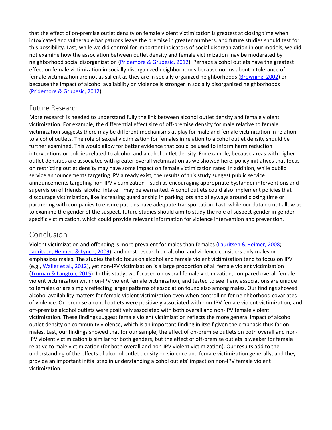that the effect of on-premise outlet density on female violent victimization is greatest at closing time when intoxicated and vulnerable bar patrons leave the premise in greater numbers, and future studies should test for this possibility. Last, while we did control for important indicators of social disorganization in our models, we did not examine how the association between outlet density and female victimization may be moderated by neighborhood social disorganization [\(Pridemore & Grubesic, 2012\)](https://journals.sagepub.com/doi/10.1177/0886260517719080). Perhaps alcohol outlets have the greatest effect on female victimization in socially disorganized neighborhoods because norms about intolerance of female victimization are not as salient as they are in socially organized neighborhoods [\(Browning, 2002\)](https://journals.sagepub.com/doi/10.1177/0886260517719080) or because the impact of alcohol availability on violence is stronger in socially disorganized neighborhoods [\(Pridemore & Grubesic, 2012\)](https://journals.sagepub.com/doi/10.1177/0886260517719080).

#### Future Research

More research is needed to understand fully the link between alcohol outlet density and female violent victimization. For example, the differential effect size of off-premise density for male relative to female victimization suggests there may be different mechanisms at play for male and female victimization in relation to alcohol outlets. The role of sexual victimization for females in relation to alcohol outlet density should be further examined. This would allow for better evidence that could be used to inform harm reduction interventions or policies related to alcohol and alcohol outlet density. For example, because areas with higher outlet densities are associated with greater overall victimization as we showed here, policy initiatives that focus on restricting outlet density may have some impact on female victimization rates. In addition, while public service announcements targeting IPV already exist, the results of this study suggest public service announcements targeting non-IPV victimization—such as encouraging appropriate bystander interventions and supervision of friends' alcohol intake—may be warranted. Alcohol outlets could also implement policies that discourage victimization, like increasing guardianship in parking lots and alleyways around closing time or partnering with companies to ensure patrons have adequate transportation. Last, while our data do not allow us to examine the gender of the suspect, future studies should aim to study the role of suspect gender in genderspecific victimization, which could provide relevant information for violence intervention and prevention.

# Conclusion

Violent victimization and offending is more prevalent for males than females [\(Lauritsen & Heimer, 2008;](https://journals.sagepub.com/doi/10.1177/0886260517719080) [Lauritsen, Heimer, & Lynch, 2009\)](https://journals.sagepub.com/doi/10.1177/0886260517719080), and most research on alcohol and violence considers only males or emphasizes males. The studies that do focus on alcohol and female violent victimization tend to focus on IPV (e.g., [Waller et al., 2012\)](https://journals.sagepub.com/doi/10.1177/0886260517719080), yet non-IPV victimization is a large proportion of all female violent victimization [\(Truman & Langton, 2015\)](https://journals.sagepub.com/doi/10.1177/0886260517719080). In this study, we focused on overall female victimization, compared overall female violent victimization with non-IPV violent female victimization, and tested to see if any associations are unique to females or are simply reflecting larger patterns of association found also among males. Our findings showed alcohol availability matters for female violent victimization even when controlling for neighborhood covariates of violence. On-premise alcohol outlets were positively associated with non-IPV female violent victimization, and off-premise alcohol outlets were positively associated with both overall and non-IPV female violent victimization. These findings suggest female violent victimization reflects the more general impact of alcohol outlet density on community violence, which is an important finding in itself given the emphasis thus far on males. Last, our findings showed that for our sample, the effect of on-premise outlets on both overall and non-IPV violent victimization is similar for both genders, but the effect of off-premise outlets is weaker for female relative to male victimization (for both overall and non-IPV violent victimization). Our results add to the understanding of the effects of alcohol outlet density on violence and female victimization generally, and they provide an important initial step in understanding alcohol outlets' impact on non-IPV female violent victimization.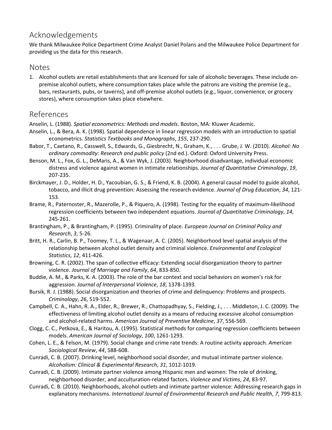# Acknowledgements

We thank Milwaukee Police Department Crime Analyst Daniel Polans and the Milwaukee Police Department for providing us the data for this research.

#### Notes

1. Alcohol outlets are retail establishments that are licensed for sale of alcoholic beverages. These include onpremise alcohol outlets, where consumption takes place while the patrons are visiting the premise (e.g., bars, restaurants, pubs, or taverns), and off-premise alcohol outlets (e.g., liquor, convenience, or grocery stores), where consumption takes place elsewhere.

# References

Anselin, L. (1988). *Spatial econometrics: Methods and models*. Boston, MA: Kluwer Academic.

- Anselin, L., & Bera, A. K. (1998). Spatial dependence in linear regression models with an introduction to spatial econometrics. *Statistics Textbooks and Monographs*, *155*, 237-290.
- Babor, T., Caetano, R., Casswell, S., Edwards, G., Giesbrecht, N., Graham, K., . . . Grube, J. W. (2010). *Alcohol: No ordinary commodity: Research and public policy* (2nd ed.). Oxford: Oxford University Press.
- Benson, M. L., Fox, G. L., DeMaris, A., & Van Wyk, J. (2003). Neighborhood disadvantage, individual economic distress and violence against women in intimate relationships. *Journal of Quantitative Criminology*, *19*, 207-235.
- Birckmayer, J. D., Holder, H. D., Yacoubian, G. S., & Friend, K. B. (2004). A general causal model to guide alcohol, tobacco, and illicit drug prevention: Assessing the research evidence. *Journal of Drug Education*, *34*, 121- 153.
- Brame, R., Paternoster, R., Mazerolle, P., & Piquero, A. (1998). Testing for the equality of maximum-likelihood regression coefficients between two independent equations. *Journal of Quantitative Criminology*, *14*, 245-261.
- Brantingham, P., & Brantingham, P. (1995). Criminality of place. *European Journal on Criminal Policy and Research*, *3*, 5-26.
- Britt, H. R., Carlin, B. P., Toomey, T. L., & Wagenaar, A. C. (2005). Neighborhood level spatial analysis of the relationship between alcohol outlet density and criminal violence. *Environmental and Ecological Statistics*, *12*, 411-426.
- Browning, C. R. (2002). The span of collective efficacy: Extending social disorganization theory to partner violence. *Journal of Marriage and Family*, *64*, 833-850.
- Buddie, A. M., & Parks, K. A. (2003). The role of the bar context and social behaviors on women's risk for aggression. *Journal of Interpersonal Violence*, *18*, 1378-1393.
- Bursik, R. J. (1988). Social disorganization and theories of crime and delinquency: Problems and prospects. *Criminology*, *26*, 519-552.
- Campbell, C. A., Hahn, R. A., Elder, R., Brewer, R., Chattopadhyay, S., Fielding, J., . . . Middleton, J. C. (2009). The effectiveness of limiting alcohol outlet density as a means of reducing excessive alcohol consumption and alcohol-related harms. *American Journal of Preventive Medicine*, *37*, 556-569.
- Clogg, C. C., Petkova, E., & Haritou, A. (1995). Statistical methods for comparing regression coefficients between models. *American Journal of Sociology*, *100*, 1261-1293.
- Cohen, L. E., & Felson, M. (1979). Social change and crime rate trends: A routine activity approach. *American Sociological Review*, *44*, 588-608.
- Cunradi, C. B. (2007). Drinking level, neighborhood social disorder, and mutual intimate partner violence. *Alcoholism: Clinical & Experimental Research*, *31*, 1012-1019.
- Cunradi, C. B. (2009). Intimate partner violence among Hispanic men and women: The role of drinking, neighborhood disorder, and acculturation-related factors. *Violence and Victims*, *24*, 83-97.
- Cunradi, C. B. (2010). Neighborhoods, alcohol outlets and intimate partner violence: Addressing research gaps in explanatory mechanisms. *International Journal of Environmental Research and Public Health*, *7*, 799-813.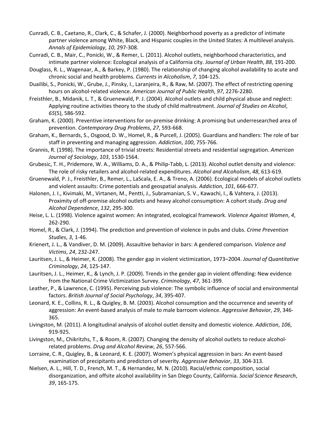- Cunradi, C. B., Caetano, R., Clark, C., & Schafer, J. (2000). Neighborhood poverty as a predictor of intimate partner violence among White, Black, and Hispanic couples in the United States: A multilevel analysis. *Annals of Epidemiology*, *10*, 297-308.
- Cunradi, C. B., Mair, C., Ponicki, W., & Remer, L. (2011). Alcohol outlets, neighborhood characteristics, and intimate partner violence: Ecological analysis of a California city. *Journal of Urban Health*, *88*, 191-200.
- Douglass, R. L., Wagenaar, A., & Barkey, P. (1980). The relationship of changing alcohol availability to acute and chronic social and health problems. *Currents in Alcoholism*, *7*, 104-125.
- Duailibi, S., Ponicki, W., Grube, J., Pinsky, I., Laranjeira, R., & Raw, M. (2007). The effect of restricting opening hours on alcohol-related violence. *American Journal of Public Health*, *97*, 2276-2280.
- Freisthler, B., Midanik, L. T., & Gruenewald, P. J. (2004). Alcohol outlets and child physical abuse and neglect: Applying routine activities theory to the study of child maltreatment. *Journal of Studies on Alcohol*, *65*(5), 586-592.
- Graham, K. (2000). Preventive interventions for on-premise drinking: A promising but underresearched area of prevention. *Contemporary Drug Problems*, *27*, 593-668.
- Graham, K., Bernards, S., Osgood, D. W., Homel, R., & Purcell, J. (2005). Guardians and handlers: The role of bar staff in preventing and managing aggression. *Addiction*, *100*, 755-766.
- Grannis, R. (1998). The importance of trivial streets: Residential streets and residential segregation. *American Journal of Sociology*, *103*, 1530-1564.
- Grubesic, T. H., Pridemore, W. A., Williams, D. A., & Philip-Tabb, L. (2013). Alcohol outlet density and violence: The role of risky retailers and alcohol-related expenditures. *Alcohol and Alcoholism*, *48*, 613-619.
- Gruenewald, P. J., Freisthler, B., Remer, L., LaScala, E. A., & Treno, A. (2006). Ecological models of alcohol outlets and violent assaults: Crime potentials and geospatial analysis. *Addiction*, *101*, 666-677.
- Halonen, J. I., Kivimaki, M., Virtanen, M., Pentti, J., Subramanian, S. V., Kawachi, I., & Vahtera, J. (2013). Proximity of off-premise alcohol outlets and heavy alcohol consumption: A cohort study. *Drug and Alcohol Dependence*, *132*, 295-300.
- Heise, L. L. (1998). Violence against women: An integrated, ecological framework. *Violence Against Women*, *4*, 262-290.
- Homel, R., & Clark, J. (1994). The prediction and prevention of violence in pubs and clubs. *Crime Prevention Studies*, *3*, 1-46.
- Krienert, J. L., & Vandiver, D. M. (2009). Assaultive behavior in bars: A gendered comparison. *Violence and Victims*, *24*, 232-247.
- Lauritsen, J. L., & Heimer, K. (2008). The gender gap in violent victimization, 1973–2004. *Journal of Quantitative Criminology*, *24*, 125-147.
- Lauritsen, J. L., Heimer, K., & Lynch, J. P. (2009). Trends in the gender gap in violent offending: New evidence from the National Crime Victimization Survey. *Criminology*, *47*, 361-399.
- Leather, P., & Lawrence, C. (1995). Perceiving pub violence: The symbolic influence of social and environmental factors. *British Journal of Social Psychology*, *34*, 395-407.
- Leonard, K. E., Collins, R. L., & Quigley, B. M. (2003). Alcohol consumption and the occurrence and severity of aggression: An event-based analysis of male to male barroom violence. *Aggressive Behavior*, *29*, 346- 365.
- Livingston, M. (2011). A longitudinal analysis of alcohol outlet density and domestic violence. *Addiction*, *106*, 919-925.
- Livingston, M., Chikritzhs, T., & Room, R. (2007). Changing the density of alcohol outlets to reduce alcoholrelated problems. *Drug and Alcohol Review*, *26*, 557-566.
- Lorraine, C. R., Quigley, B., & Leonard, K. E. (2007). Women's physical aggression in bars: An event-based examination of precipitants and predictors of severity. *Aggressive Behavior*, *33*, 304-313.
- Nielsen, A. L., Hill, T. D., French, M. T., & Hernandez, M. N. (2010). Racial/ethnic composition, social disorganization, and offsite alcohol availability in San Diego County, California. *Social Science Research*, *39*, 165-175.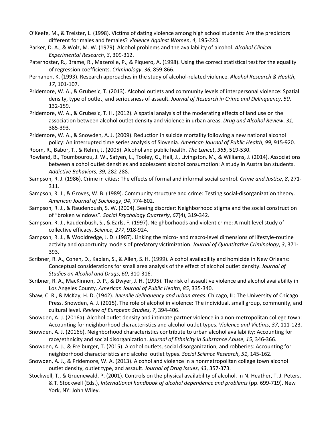- O'Keefe, M., & Treister, L. (1998). Victims of dating violence among high school students: Are the predictors different for males and females? *Violence Against Women*, *4*, 195-223.
- Parker, D. A., & Wolz, M. W. (1979). Alcohol problems and the availability of alcohol. *Alcohol Clinical Experimental Research*, *3*, 309-312.
- Paternoster, R., Brame, R., Mazerolle, P., & Piquero, A. (1998). Using the correct statistical test for the equality of regression coefficients. *Criminology*, *36*, 859-866.
- Pernanen, K. (1993). Research approaches in the study of alcohol-related violence. *Alcohol Research & Health*, *17*, 101-107.
- Pridemore, W. A., & Grubesic, T. (2013). Alcohol outlets and community levels of interpersonal violence: Spatial density, type of outlet, and seriousness of assault. *Journal of Research in Crime and Delinquency*, *50*, 132-159.
- Pridemore, W. A., & Grubesic, T. H. (2012). A spatial analysis of the moderating effects of land use on the association between alcohol outlet density and violence in urban areas. *Drug and Alcohol Review*, *31*, 385-393.
- Pridemore, W. A., & Snowden, A. J. (2009). Reduction in suicide mortality following a new national alcohol policy: An interrupted time series analysis of Slovenia. *American Journal of Public Health*, *99*, 915-920.
- Room, R., Babor, T., & Rehm, J. (2005). Alcohol and public health. *The Lancet*, *365*, 519-530.
- Rowland, B., Toumbourou, J. W., Satyen, L., Tooley, G., Hall, J., Livingston, M., & Williams, J. (2014). Associations between alcohol outlet densities and adolescent alcohol consumption: A study in Australian students. *Addictive Behaviors*, *39*, 282-288.
- Sampson, R. J. (1986). Crime in cities: The effects of formal and informal social control. *Crime and Justice*, *8*, 271- 311.
- Sampson, R. J., & Groves, W. B. (1989). Community structure and crime: Testing social-disorganization theory. *American Journal of Sociology*, *94*, 774-802.
- Sampson, R. J., & Raudenbush, S. W. (2004). Seeing disorder: Neighborhood stigma and the social construction of "broken windows". *Social Psychology Quarterly*, *67*(4), 319-342.
- Sampson, R. J., Raudenbush, S., & Earls, F. (1997). Neighborhoods and violent crime: A multilevel study of collective efficacy. *Science*, *277*, 918-924.
- Sampson, R. J., & Wooldredge, J. D. (1987). Linking the micro- and macro-level dimensions of lifestyle-routine activity and opportunity models of predatory victimization. *Journal of Quantitative Criminology*, *3*, 371- 393.
- Scribner, R. A., Cohen, D., Kaplan, S., & Allen, S. H. (1999). Alcohol availability and homicide in New Orleans: Conceptual considerations for small area analysis of the effect of alcohol outlet density. *Journal of Studies on Alcohol and Drugs*, *60*, 310-316.
- Scribner, R. A., MacKinnon, D. P., & Dwyer, J. H. (1995). The risk of assaultive violence and alcohol availability in Los Angeles County. *American Journal of Public Health*, *85*, 335-340.
- Shaw, C. R., & McKay, H. D. (1942). *Juvenile delinquency and urban areas*. Chicago, IL: The University of Chicago Press. Snowden, A. J. (2015). The role of alcohol in violence: The individual, small group, community, and cultural level. *Review of European Studies*, *7*, 394-406.
- Snowden, A. J. (2016a). Alcohol outlet density and intimate partner violence in a non-metropolitan college town: Accounting for neighborhood characteristics and alcohol outlet types. *Violence and Victims*, *37*, 111-123.
- Snowden, A. J. (2016b). Neighborhood characteristics contribute to urban alcohol availability: Accounting for race/ethnicity and social disorganization. *Journal of Ethnicity in Substance Abuse*, *15*, 346-366.
- Snowden, A. J., & Freiburger, T. (2015). Alcohol outlets, social disorganization, and robberies: Accounting for neighborhood characteristics and alcohol outlet types. *Social Science Research*, *51*, 145-162.
- Snowden, A. J., & Pridemore, W. A. (2013). Alcohol and violence in a nonmetropolitan college town alcohol outlet density, outlet type, and assault. *Journal of Drug Issues*, *43*, 357-373.
- Stockwell, T., & Gruenewald, P. (2001). Controls on the physical availability of alcohol. In N. Heather, T. J. Peters, & T. Stockwell (Eds.), *International handbook of alcohol dependence and problems* (pp. 699-719). New York, NY: John Wiley.